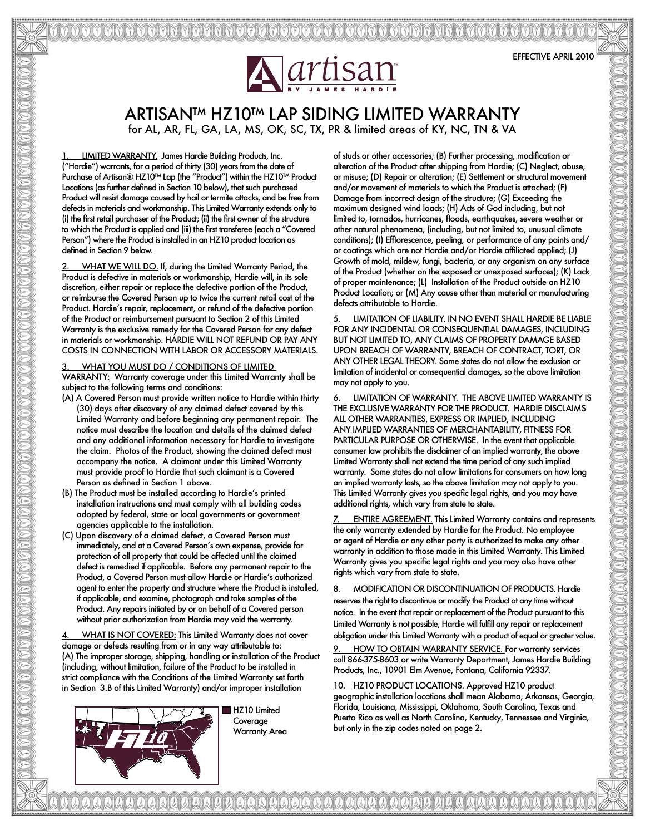## ARTISAN™ HZ10™ LAP SIDING LIMITED WARRANTY for AL, AR, FL, GA, LA, MS, OK, SC, TX, PR & limited areas of KY, NC, TN & VA

1. LIMITED WARRANTY. James Hardie Building Products, Inc. ("Hardie") warrants, for a period of thirty (30) years from the date of Purchase of Artisan® HZ10™ Lap (the "Product") within the HZ10™ Product Locations (as further defined in Section 10 below), that such purchased Product will resist damage caused by hail or termite attacks, and be free from defects in materials and workmanship. This Limited Warranty extends only to (i) the first retail purchaser of the Product; (ii) the first owner of the structure to which the Product is applied and (iii) the first transferee (each a "Covered Person") where the Product is installed in an HZ10 product location as defined in Section 9 below.

WHAT WE WILL DO. If, during the Limited Warranty Period, the Product is defective in materials or workmanship, Hardie will, in its sole discretion, either repair or replace the defective portion of the Product, or reimburse the Covered Person up to twice the current retail cost of the Product. Hardie's repair, replacement, or refund of the defective portion of the Product or reimbursement pursuant to Section 2 of this Limited Warranty is the exclusive remedy for the Covered Person for any defect in materials or workmanship. HARDIE WILL NOT REFUND OR PAY ANY COSTS IN CONNECTION WITH LABOR OR ACCESSORY MATERIALS.

## WHAT YOU MUST DO / CONDITIONS OF LIMITED

WARRANTY: Warranty coverage under this Limited Warranty shall be subject to the following terms and conditions:

- (A) A Covered Person must provide written notice to Hardie within thirty (30) days after discovery of any claimed defect covered by this Limited Warranty and before beginning any permanent repair. The notice must describe the location and details of the claimed defect and any additional information necessary for Hardie to investigate the claim. Photos of the Product, showing the claimed defect must accompany the notice. A claimant under this Limited Warranty must provide proof to Hardie that such claimant is a Covered Person as defined in Section 1 above.
- (B) The Product must be installed according to Hardie's printed installation instructions and must comply with all building codes adopted by federal, state or local governments or government agencies applicable to the installation.
- (C) Upon discovery of a claimed defect, a Covered Person must immediately, and at a Covered Person's own expense, provide for protection of all property that could be affected until the claimed defect is remedied if applicable. Before any permanent repair to the Product, a Covered Person must allow Hardie or Hardie's authorized agent to enter the property and structure where the Product is installed, if applicable, and examine, photograph and take samples of the Product. Any repairs initiated by or on behalf of a Covered person without prior authorization from Hardie may void the warranty.

WHAT IS NOT COVERED: This Limited Warranty does not cover damage or defects resulting from or in any way attributable to: (A) The improper storage, shipping, handling or installation of the Product (including, without limitation, failure of the Product to be installed in strict compliance with the Conditions of the Limited Warranty set forth in Section 3.B of this Limited Warranty) and/or improper installation



HZ10 Limited Coverage Warranty Area

aaaaaaaaaaaaaaaaaaaaaaaaaaaaaaaaa

of studs or other accessories; (B) Further processing, modification or alteration of the Product after shipping from Hardie; (C) Neglect, abuse, or misuse; (D) Repair or alteration; (E) Settlement or structural movement and/or movement of materials to which the Product is attached; (F) Damage from incorrect design of the structure; (G) Exceeding the maximum designed wind loads; (H) Acts of God including, but not limited to, tornados, hurricanes, floods, earthquakes, severe weather or other natural phenomena, (including, but not limited to, unusual climate conditions); (I) Efflorescence, peeling, or performance of any paints and/ or coatings which are not Hardie and/or Hardie affiliated applied; (J) Growth of mold, mildew, fungi, bacteria, or any organism on any surface of the Product (whether on the exposed or unexposed surfaces); (K) Lack of proper maintenance; (L) Installation of the Product outside an HZ10 Product Location; or (M) Any cause other than material or manufacturing defects attributable to Hardie.

LIMITATION OF LIABILITY. IN NO EVENT SHALL HARDIE BE LIABLE FOR ANY INCIDENTAL OR CONSEQUENTIAL DAMAGES, INCLUDING BUT NOT LIMITED TO, ANY CLAIMS OF PROPERTY DAMAGE BASED UPON BREACH OF WARRANTY, BREACH OF CONTRACT, TORT, OR ANY OTHER LEGAL THEORY. Some states do not allow the exclusion or limitation of incidental or consequential damages, so the above limitation may not apply to you.

6. LIMITATION OF WARRANTY. THE ABOVE LIMITED WARRANTY IS THE EXCLUSIVE WARRANTY FOR THE PRODUCT. HARDIE DISCLAIMS ALL OTHER WARRANTIES, EXPRESS OR IMPLIED, INCLUDING ANY IMPLIED WARRANTIES OF MERCHANTABILITY, FITNESS FOR PARTICULAR PURPOSE OR OTHERWISE. In the event that applicable consumer law prohibits the disclaimer of an implied warranty, the above Limited Warranty shall not extend the time period of any such implied warranty. Some states do not allow limitations for consumers on how long an implied warranty lasts, so the above limitation may not apply to you. This Limited Warranty gives you specific legal rights, and you may have additional rights, which vary from state to state.

**ENTIRE AGREEMENT.** This Limited Warranty contains and represents the only warranty extended by Hardie for the Product. No employee or agent of Hardie or any other party is authorized to make any other warranty in addition to those made in this Limited Warranty. This Limited Warranty gives you specific legal rights and you may also have other rights which vary from state to state.

MODIFICATION OR DISCONTINUATION OF PRODUCTS. Hardie reserves the right to discontinue or modify the Product at any time without notice. In the event that repair or replacement of the Product pursuant to this Limited Warranty is not possible, Hardie will fulfill any repair or replacement obligation under this Limited Warranty with a product of equal or greater value.

9. HOW TO OBTAIN WARRANTY SERVICE. For warranty services call 866-375-8603 or write Warranty Department, James Hardie Building Products, Inc., 10901 Elm Avenue, Fontana, California 92337.

10. HZ10 PRODUCT LOCATIONS. Approved HZ10 product geographic installation locations shall mean Alabama, Arkansas, Georgia, Florida, Louisiana, Mississippi, Oklahoma, South Carolina, Texas and Puerto Rico as well as North Carolina, Kentucky, Tennessee and Virginia, but only in the zip codes noted on page 2.